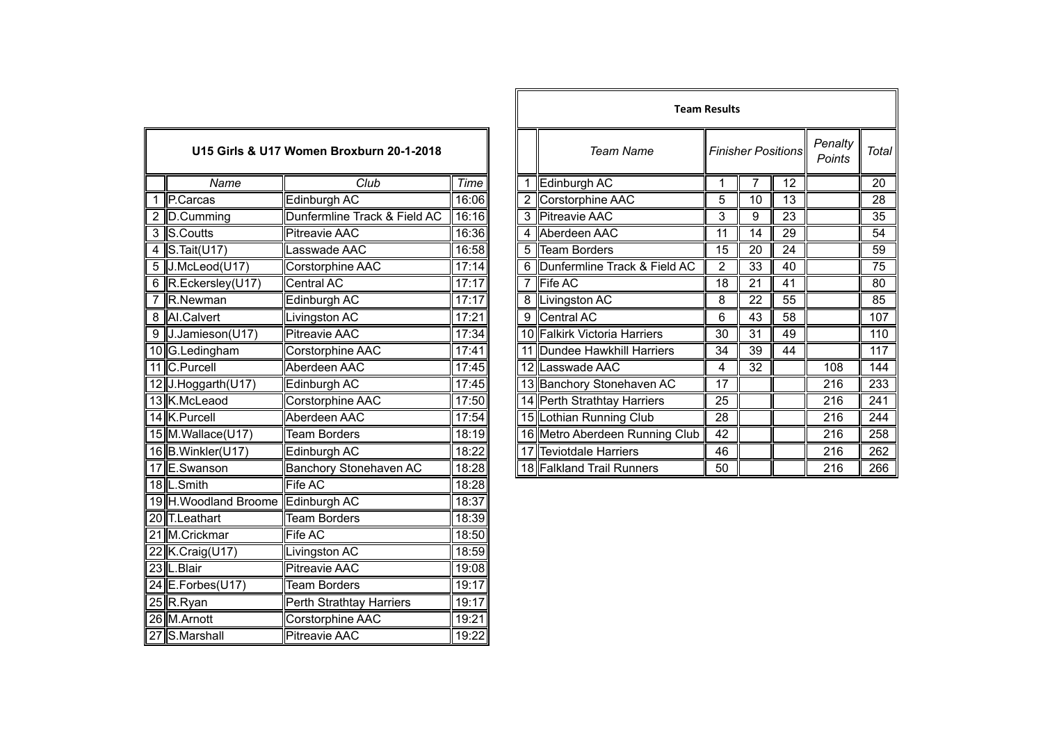| U15 Girls & U17 Women Broxburn 20-1-2018 |                                    |                               |       | <b>Team Name</b> | <b>Finisher Positions</b>      |                 |                 |                 |
|------------------------------------------|------------------------------------|-------------------------------|-------|------------------|--------------------------------|-----------------|-----------------|-----------------|
|                                          | Name                               | Club                          | Time  |                  | Edinburgh AC                   | 1               | 7               | 12              |
| 1                                        | P.Carcas                           | Edinburgh AC                  | 16:06 | $\overline{2}$   | Corstorphine AAC               | 5               | 10              | 13              |
| 2                                        | D.Cumming                          | Dunfermline Track & Field AC  | 16:16 |                  | 3 Pitreavie AAC                | 3               | 9               | 23              |
| 3                                        | S.Coutts                           | Pitreavie AAC                 | 16:36 | 4                | Aberdeen AAC                   | 11              | 14              | 29              |
| $\overline{4}$                           | S.Tait(U17)                        | Lasswade AAC                  | 16:58 | 5                | <b>Team Borders</b>            | $\overline{15}$ | $\overline{20}$ | $\overline{24}$ |
| 5                                        | J.McLeod(U17)                      | Corstorphine AAC              | 17:14 | 6                | Dunfermline Track & Field AC   | $\overline{2}$  | 33              | 40              |
| $6\phantom{1}$                           | R.Eckersley(U17)                   | <b>Central AC</b>             | 17:17 | 7                | Fife AC                        | 18              | 21              | 41              |
| 7                                        | R.Newman                           | Edinburgh AC                  | 17:17 | 8                | Livingston AC                  | 8               | 22              | 55              |
| 8                                        | AI.Calvert                         | Livingston AC                 | 17:21 | 9                | Central AC                     | 6               | 43              | 58              |
| 9                                        | J.Jamieson(U17)                    | <b>Pitreavie AAC</b>          | 17:34 |                  | 10 Falkirk Victoria Harriers   | 30              | $\overline{31}$ | 49              |
|                                          | 10 G.Ledingham                     | Corstorphine AAC              | 17:41 |                  | 11 Dundee Hawkhill Harriers    | 34              | 39              | 44              |
|                                          | 11 C.Purcell                       | Aberdeen AAC                  | 17:45 |                  | 12 Lasswade AAC                | 4               | $\overline{32}$ |                 |
|                                          | 12 J.Hoggarth(U17)                 | Edinburgh AC                  | 17:45 |                  | 13 Banchory Stonehaven AC      | 17              |                 |                 |
|                                          | 13 K.McLeaod                       | Corstorphine AAC              | 17:50 |                  | 14 Perth Strathtay Harriers    | 25              |                 |                 |
|                                          | 14 K.Purcell                       | Aberdeen AAC                  | 17:54 |                  | 15 Lothian Running Club        | $\overline{28}$ |                 |                 |
|                                          | 15 M. Wallace (U17)                | <b>Team Borders</b>           | 18:19 |                  | 16 Metro Aberdeen Running Club | 42              |                 |                 |
|                                          | 16 B. Winkler(U17)                 | Edinburgh AC                  | 18:22 |                  | 17 Teviotdale Harriers         | 46              |                 |                 |
|                                          | 17 E.Swanson                       | <b>Banchory Stonehaven AC</b> | 18:28 |                  | 18 Falkland Trail Runners      | 50              |                 |                 |
|                                          | 18 L.Smith                         | Fife AC                       | 18:28 |                  |                                |                 |                 |                 |
|                                          | 19 H. Woodland Broome Edinburgh AC |                               | 18:37 |                  |                                |                 |                 |                 |
|                                          | 20 T.Leathart                      | <b>Team Borders</b>           | 18:39 |                  |                                |                 |                 |                 |
|                                          | 21 M.Crickmar                      | <b>Fife AC</b>                | 18:50 |                  |                                |                 |                 |                 |
|                                          | 22 K.Craig(U17)                    | Livingston AC                 | 18:59 |                  |                                |                 |                 |                 |
|                                          | 23 L.Blair                         | <b>Pitreavie AAC</b>          | 19:08 |                  |                                |                 |                 |                 |
|                                          | 24 E.Forbes(U17)                   | <b>Team Borders</b>           | 19:17 |                  |                                |                 |                 |                 |
|                                          | $25$ R.Ryan                        | Perth Strathtay Harriers      | 19:17 |                  |                                |                 |                 |                 |
|                                          | 26 M.Arnott                        | Corstorphine AAC              | 19:21 |                  |                                |                 |                 |                 |
|                                          | 27 S.Marshall                      | <b>Pitreavie AAC</b>          | 19:22 |                  |                                |                 |                 |                 |

|                          |                                          |             |   |                                | <b>Team Results</b> |    |                           |                   |         |
|--------------------------|------------------------------------------|-------------|---|--------------------------------|---------------------|----|---------------------------|-------------------|---------|
|                          | U15 Girls & U17 Women Broxburn 20-1-2018 |             |   | <b>Team Name</b>               |                     |    | <b>Finisher Positions</b> | Penalty<br>Points | Total I |
| Name                     | Club                                     | <b>Time</b> |   | Edinburgh AC                   |                     |    | 12                        |                   | 20      |
| P.Carcas                 | Edinburgh AC                             | 16:06       |   | Corstorphine AAC               | 5                   | 10 | 13                        |                   | 28      |
| 2 D.Cumming              | Dunfermline Track & Field AC             | 16:16       |   | 3 Pitreavie AAC                | 3                   | 9  | 23                        |                   | 35      |
| 3 S.Coutts               | <b>Pitreavie AAC</b>                     | 16:36       |   | Aberdeen AAC                   | 11                  | 14 | 29                        |                   | 54      |
| 4 $\textsf{S}.Tait(U17)$ | asswade AAC                              | 16:58       | 5 | Team Borders                   | 15                  | 20 | 24                        |                   | 59      |
| $5$ J.McLeod(U17)        | Corstorphine AAC                         | 17:14       |   | Dunfermline Track & Field AC   | 2                   | 33 | 40                        |                   | 75      |
| 6 R.Eckersley(U17)       | Central AC                               | 17:17       |   | Fife AC                        | 18                  | 21 | 41                        |                   | 80      |
| 7 R.Newman               | Edinburgh AC                             | 17:17       |   | Livingston AC                  | 8                   | 22 | 55                        |                   | 85      |
| 8 Al.Calvert             | Livingston AC                            | 17:21       | 9 | Central AC                     | 6                   | 43 | 58                        |                   | 107     |
| 9 J.Jamieson(U17)        | <b>Pitreavie AAC</b>                     | 17:34       |   | 10 Falkirk Victoria Harriers   | 30                  | 31 | 49                        |                   | 110     |
| 10 G.Ledingham           | Corstorphine AAC                         | 17:41       |   | 11 Dundee Hawkhill Harriers    | 34                  | 39 | 44                        |                   | 117     |
| 11 C.Purcell             | Aberdeen AAC                             | 17:45       |   | 12 Lasswade AAC                | 4                   | 32 |                           | 108               | 144     |
| 12 J.Hoggarth(U17)       | Edinburgh AC                             | 17:45       |   | 13 Banchory Stonehaven AC      | 17                  |    |                           | 216               | 233     |
| 13 K.McLeaod             | Corstorphine AAC                         | 17:50       |   | 14 Perth Strathtay Harriers    | 25                  |    |                           | 216               | 241     |
| 14 K.Purcell             | Aberdeen AAC                             | 17:54       |   | 15 Lothian Running Club        | 28                  |    |                           | 216               | 244     |
| 15 M. Wallace (U17)      | <b>Team Borders</b>                      | 18:19       |   | 16 Metro Aberdeen Running Club | 42                  |    |                           | 216               | 258     |
| 16 B. Winkler(U17)       | Edinburgh AC                             | 18:22       |   | 17 Teviotdale Harriers         | 46                  |    |                           | 216               | 262     |
| 17 E.Swanson             | Banchory Stonehaven AC                   | 18:28       |   | 18 Falkland Trail Runners      | 50                  |    |                           | 216               | 266     |
|                          |                                          |             |   |                                |                     |    |                           |                   |         |